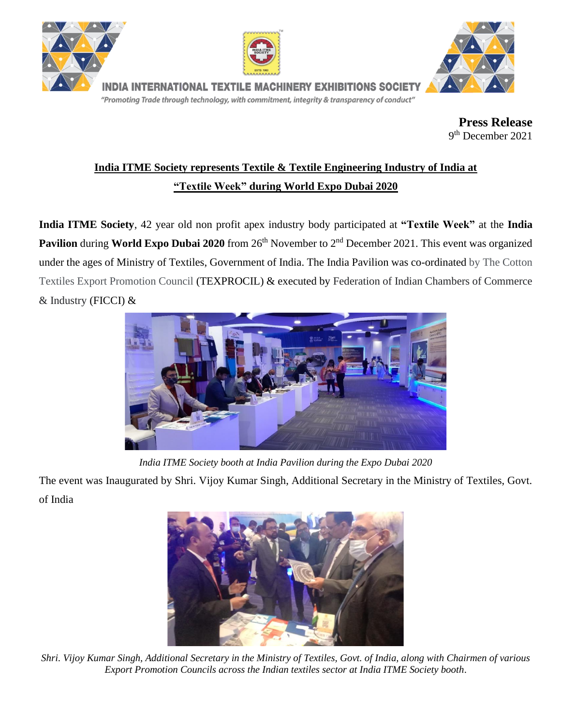





ia international textile machinery exhibitions society "Promoting Trade through technology, with commitment, integrity & transparency of conduct"

> **Press Release** 9 th December 2021

## **India ITME Society represents Textile & Textile Engineering Industry of India at "Textile Week" during World Expo Dubai 2020**

**India ITME Society**, 42 year old non profit apex industry body participated at **"Textile Week"** at the **India Pavilion** during **World Expo Dubai 2020** from 26<sup>th</sup> November to 2<sup>nd</sup> December 2021. This event was organized under the ages of Ministry of Textiles, Government of India. The India Pavilion was co-ordinated by The Cotton Textiles Export Promotion Council (TEXPROCIL) & executed by Federation of Indian Chambers of Commerce & Industry (FICCI) &



*India ITME Society booth at India Pavilion during the Expo Dubai 2020*

The event was Inaugurated by Shri. Vijoy Kumar Singh, Additional Secretary in the Ministry of Textiles, Govt. of India



*Shri. Vijoy Kumar Singh, Additional Secretary in the Ministry of Textiles, Govt. of India, along with Chairmen of various Export Promotion Councils across the Indian textiles sector at India ITME Society booth*.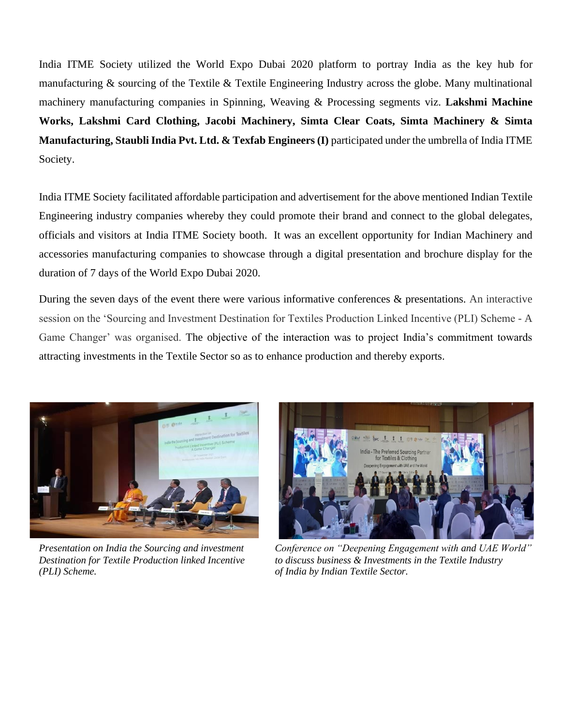India ITME Society utilized the World Expo Dubai 2020 platform to portray India as the key hub for manufacturing & sourcing of the Textile & Textile Engineering Industry across the globe. Many multinational machinery manufacturing companies in Spinning, Weaving & Processing segments viz. **Lakshmi Machine Works, Lakshmi Card Clothing, Jacobi Machinery, Simta Clear Coats, Simta Machinery & Simta Manufacturing, Staubli India Pvt. Ltd. & Texfab Engineers (I)** participated under the umbrella of India ITME Society.

India ITME Society facilitated affordable participation and advertisement for the above mentioned Indian Textile Engineering industry companies whereby they could promote their brand and connect to the global delegates, officials and visitors at India ITME Society booth. It was an excellent opportunity for Indian Machinery and accessories manufacturing companies to showcase through a digital presentation and brochure display for the duration of 7 days of the World Expo Dubai 2020.

During the seven days of the event there were various informative conferences & presentations. An interactive session on the 'Sourcing and Investment Destination for Textiles Production Linked Incentive (PLI) Scheme - A Game Changer' was organised. The objective of the interaction was to project India's commitment towards attracting investments in the Textile Sector so as to enhance production and thereby exports.



*(PLI) Scheme. of India by Indian Textile Sector.*



*Presentation on India the Sourcing and investment Conference on "Deepening Engagement with and UAE World" Destination for Textile Production linked Incentive to discuss business & Investments in the Textile Industry*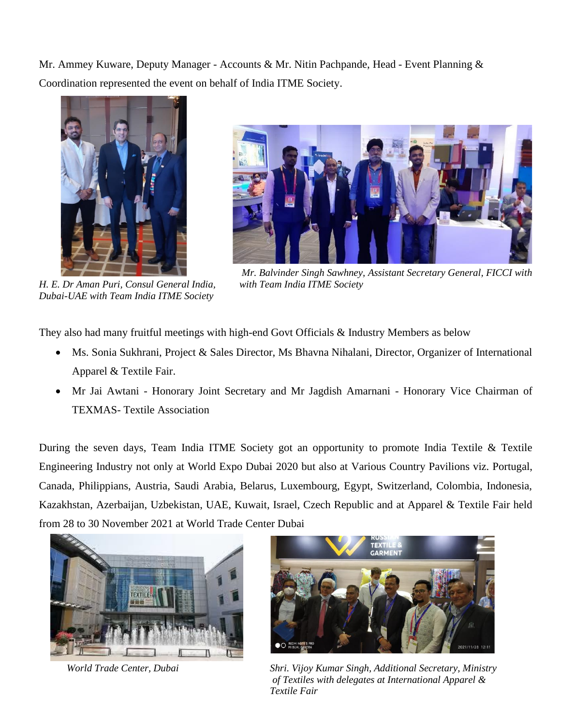Mr. Ammey Kuware, Deputy Manager - Accounts & Mr. Nitin Pachpande, Head - Event Planning & Coordination represented the event on behalf of India ITME Society.





*H. E. Dr Aman Puri, Consul General India, with Team India ITME Society Dubai-UAE with Team India ITME Society*

*Mr. Balvinder Singh Sawhney, Assistant Secretary General, FICCI with* 

They also had many fruitful meetings with high-end Govt Officials & Industry Members as below

- Ms. Sonia Sukhrani, Project & Sales Director, Ms Bhavna Nihalani, Director, Organizer of International Apparel & Textile Fair.
- Mr Jai Awtani Honorary Joint Secretary and Mr Jagdish Amarnani Honorary Vice Chairman of TEXMAS- Textile Association

During the seven days, Team India ITME Society got an opportunity to promote India Textile & Textile Engineering Industry not only at World Expo Dubai 2020 but also at Various Country Pavilions viz. Portugal, Canada, Philippians, Austria, Saudi Arabia, Belarus, Luxembourg, Egypt, Switzerland, Colombia, Indonesia, Kazakhstan, Azerbaijan, Uzbekistan, UAE, Kuwait, Israel, Czech Republic and at Apparel & Textile Fair held from 28 to 30 November 2021 at World Trade Center Dubai





 *World Trade Center, Dubai Shri. Vijoy Kumar Singh, Additional Secretary, Ministry of Textiles with delegates at International Apparel & Textile Fair*